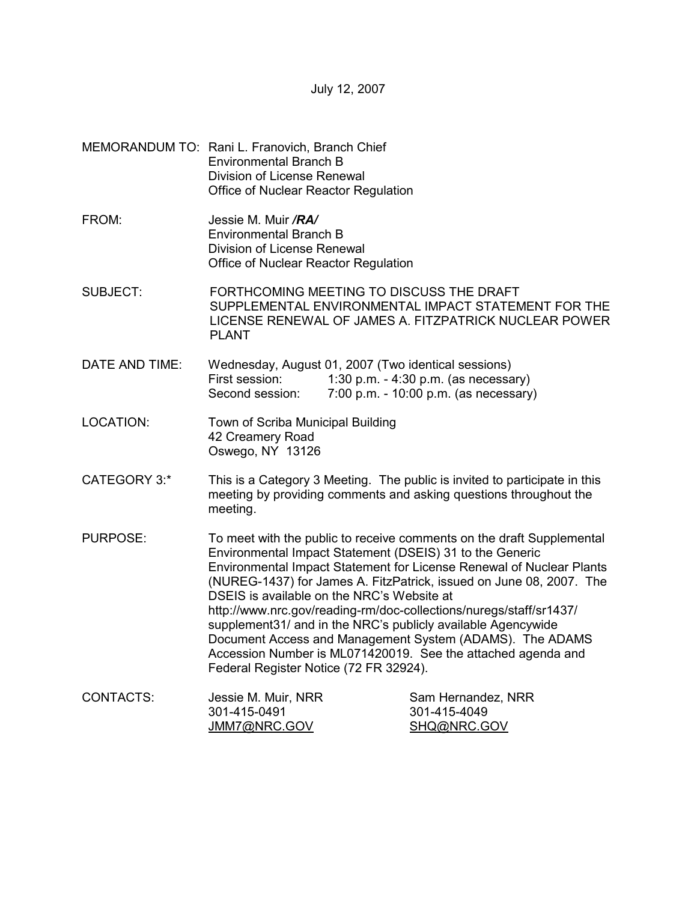July 12, 2007

- MEMORANDUM TO: Rani L. Franovich, Branch Chief Environmental Branch B Division of License Renewal Office of Nuclear Reactor Regulation
- FROM: Jessie M. Muir */RA/* Environmental Branch B Division of License Renewal Office of Nuclear Reactor Regulation
- SUBJECT: FORTHCOMING MEETING TO DISCUSS THE DRAFT SUPPLEMENTAL ENVIRONMENTAL IMPACT STATEMENT FOR THE LICENSE RENEWAL OF JAMES A. FITZPATRICK NUCLEAR POWER PI ANT
- DATE AND TIME: Wednesday, August 01, 2007 (Two identical sessions) First session: 1:30 p.m. - 4:30 p.m. (as necessary) Second session: 7:00 p.m. - 10:00 p.m. (as necessary)
- LOCATION: Town of Scriba Municipal Building 42 Creamery Road Oswego, NY 13126
- CATEGORY 3:\* This is a Category 3 Meeting. The public is invited to participate in this meeting by providing comments and asking questions throughout the meeting.
- PURPOSE: To meet with the public to receive comments on the draft Supplemental Environmental Impact Statement (DSEIS) 31 to the Generic Environmental Impact Statement for License Renewal of Nuclear Plants (NUREG-1437) for James A. FitzPatrick, issued on June 08, 2007. The DSEIS is available on the NRC's Website at http://www.nrc.gov/reading-rm/doc-collections/nuregs/staff/sr1437/ supplement31/ and in the NRC's publicly available Agencywide Document Access and Management System (ADAMS). The ADAMS Accession Number is ML071420019. See the attached agenda and Federal Register Notice (72 FR 32924).

| CONTACTS: | Jessie M. Muir, NRR | Sam Hernandez, NRR |
|-----------|---------------------|--------------------|
|           | 301-415-0491        | 301-415-4049       |
|           | JMM7@NRC.GOV        | SHQ@NRC.GOV        |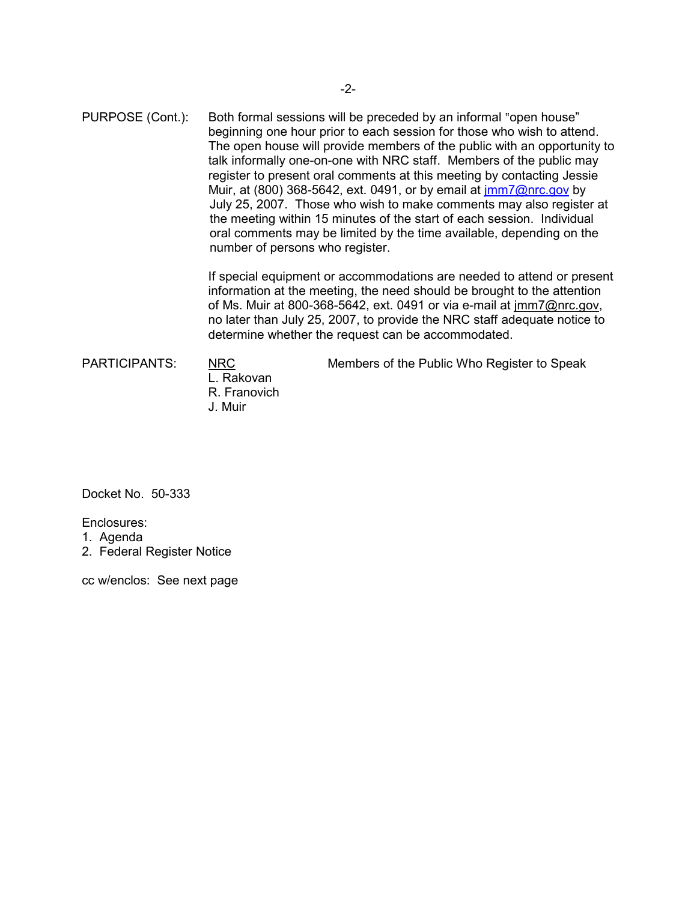PURPOSE (Cont.): Both formal sessions will be preceded by an informal "open house" beginning one hour prior to each session for those who wish to attend. The open house will provide members of the public with an opportunity to talk informally one-on-one with NRC staff. Members of the public may register to present oral comments at this meeting by contacting Jessie Muir, at (800) 368-5642, ext. 0491, or by email at jmm7@nrc.gov by July 25, 2007. Those who wish to make comments may also register at the meeting within 15 minutes of the start of each session. Individual oral comments may be limited by the time available, depending on the number of persons who register.

> If special equipment or accommodations are needed to attend or present information at the meeting, the need should be brought to the attention of Ms. Muir at 800-368-5642, ext. 0491 or via e-mail at jmm7@nrc.gov, no later than July 25, 2007, to provide the NRC staff adequate notice to determine whether the request can be accommodated.

 L. Rakovan R. Franovich J. Muir

PARTICIPANTS: NRC Members of the Public Who Register to Speak

Docket No. 50-333

Enclosures:

1. Agenda

2. Federal Register Notice

cc w/enclos: See next page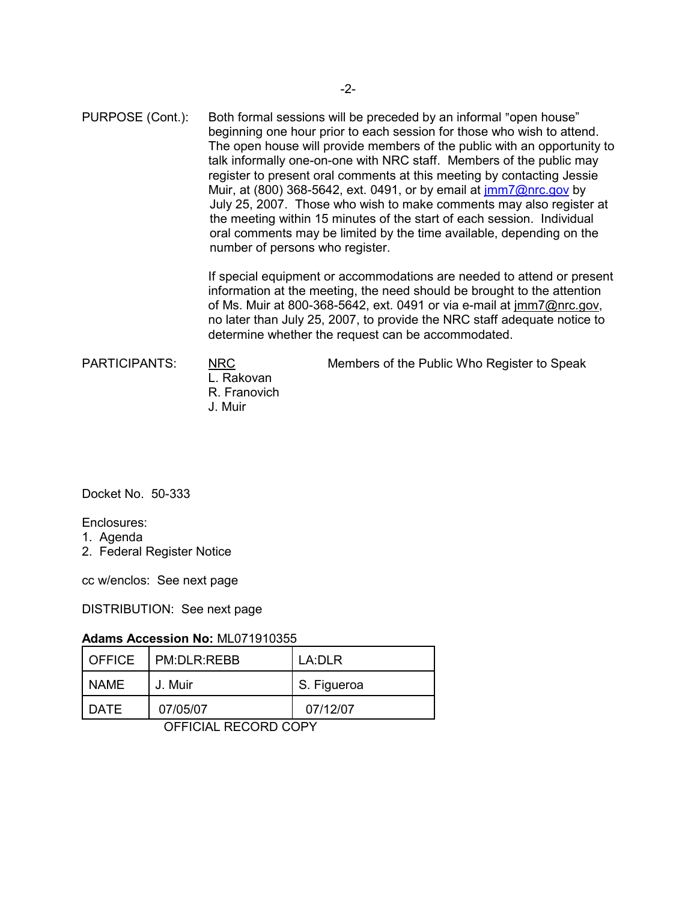PURPOSE (Cont.): Both formal sessions will be preceded by an informal "open house" beginning one hour prior to each session for those who wish to attend. The open house will provide members of the public with an opportunity to talk informally one-on-one with NRC staff. Members of the public may register to present oral comments at this meeting by contacting Jessie Muir, at (800) 368-5642, ext. 0491, or by email at jmm7@nrc.gov by July 25, 2007. Those who wish to make comments may also register at the meeting within 15 minutes of the start of each session. Individual oral comments may be limited by the time available, depending on the number of persons who register.

> If special equipment or accommodations are needed to attend or present information at the meeting, the need should be brought to the attention of Ms. Muir at 800-368-5642, ext. 0491 or via e-mail at jmm7@nrc.gov, no later than July 25, 2007, to provide the NRC staff adequate notice to determine whether the request can be accommodated.

 L. Rakovan R. Franovich J. Muir

PARTICIPANTS: NRC Members of the Public Who Register to Speak

Docket No. 50-333

Enclosures:

- 1. Agenda
- 2. Federal Register Notice

cc w/enclos: See next page

DISTRIBUTION: See next page

## **Adams Accession No:** ML071910355

| I OFFICE | I PM:DLR:REBB | LA:DLR      |
|----------|---------------|-------------|
| NAME     | J. Muir       | S. Figueroa |
| DATE     | 07/05/07      | 07/12/07    |

OFFICIAL RECORD COPY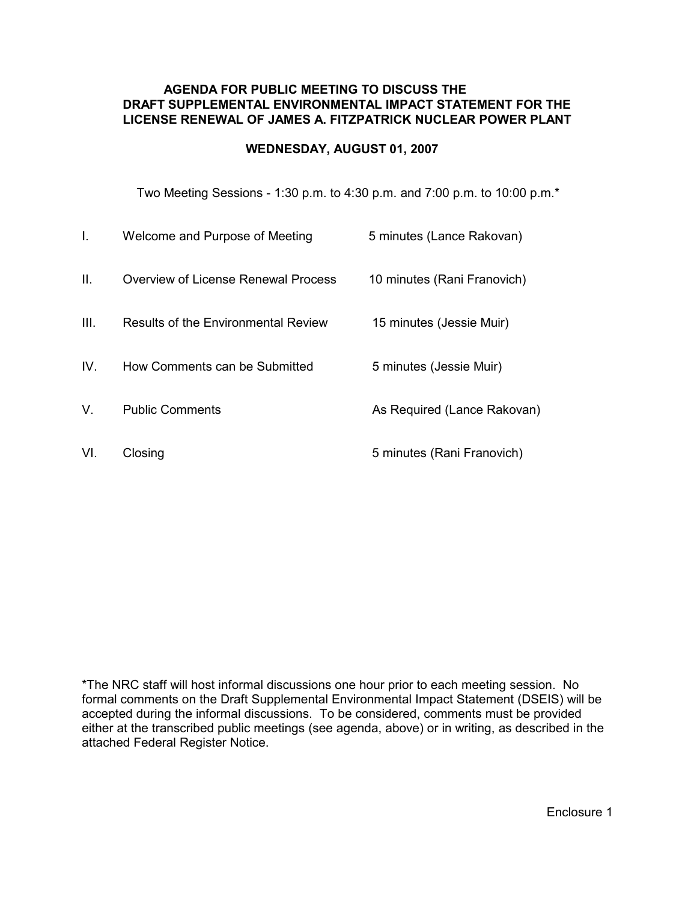### **AGENDA FOR PUBLIC MEETING TO DISCUSS THE DRAFT SUPPLEMENTAL ENVIRONMENTAL IMPACT STATEMENT FOR THE LICENSE RENEWAL OF JAMES A. FITZPATRICK NUCLEAR POWER PLANT**

## **WEDNESDAY, AUGUST 01, 2007**

Two Meeting Sessions - 1:30 p.m. to 4:30 p.m. and 7:00 p.m. to 10:00 p.m.\*

| L.   | Welcome and Purpose of Meeting             | 5 minutes (Lance Rakovan)   |
|------|--------------------------------------------|-----------------------------|
| II.  | Overview of License Renewal Process        | 10 minutes (Rani Franovich) |
| III. | <b>Results of the Environmental Review</b> | 15 minutes (Jessie Muir)    |
| IV.  | How Comments can be Submitted              | 5 minutes (Jessie Muir)     |
| V.   | <b>Public Comments</b>                     | As Required (Lance Rakovan) |
| VI.  | Closing                                    | 5 minutes (Rani Franovich)  |

\*The NRC staff will host informal discussions one hour prior to each meeting session. No formal comments on the Draft Supplemental Environmental Impact Statement (DSEIS) will be accepted during the informal discussions. To be considered, comments must be provided either at the transcribed public meetings (see agenda, above) or in writing, as described in the attached Federal Register Notice.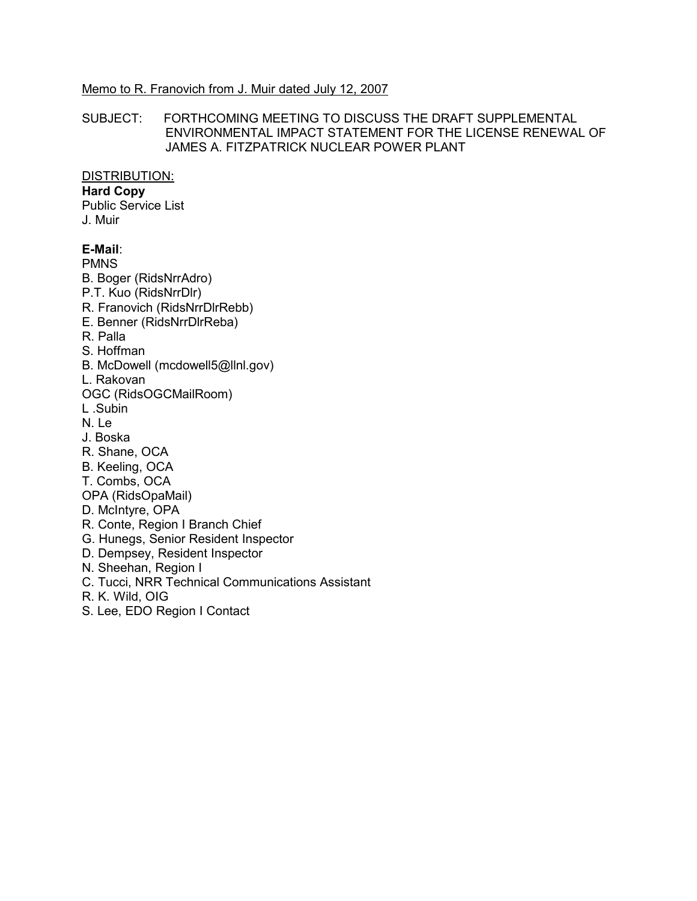#### Memo to R. Franovich from J. Muir dated July 12, 2007

#### SUBJECT: FORTHCOMING MEETING TO DISCUSS THE DRAFT SUPPLEMENTAL ENVIRONMENTAL IMPACT STATEMENT FOR THE LICENSE RENEWAL OF JAMES A. FITZPATRICK NUCLEAR POWER PLANT

#### DISTRIBUTION:

### **Hard Copy**

Public Service List J. Muir

# **E-Mail**:

PMNS

B. Boger (RidsNrrAdro)

- P.T. Kuo (RidsNrrDlr)
- R. Franovich (RidsNrrDlrRebb)
- E. Benner (RidsNrrDlrReba)
- R. Palla
- S. Hoffman
- B. McDowell (mcdowell5@llnl.gov)
- L. Rakovan
- OGC (RidsOGCMailRoom)
- L .Subin
- N. Le
- J. Boska
- R. Shane, OCA
- B. Keeling, OCA
- T. Combs, OCA
- OPA (RidsOpaMail)
- D. McIntyre, OPA
- R. Conte, Region I Branch Chief
- G. Hunegs, Senior Resident Inspector
- D. Dempsey, Resident Inspector
- N. Sheehan, Region I
- C. Tucci, NRR Technical Communications Assistant
- R. K. Wild, OIG
- S. Lee, EDO Region I Contact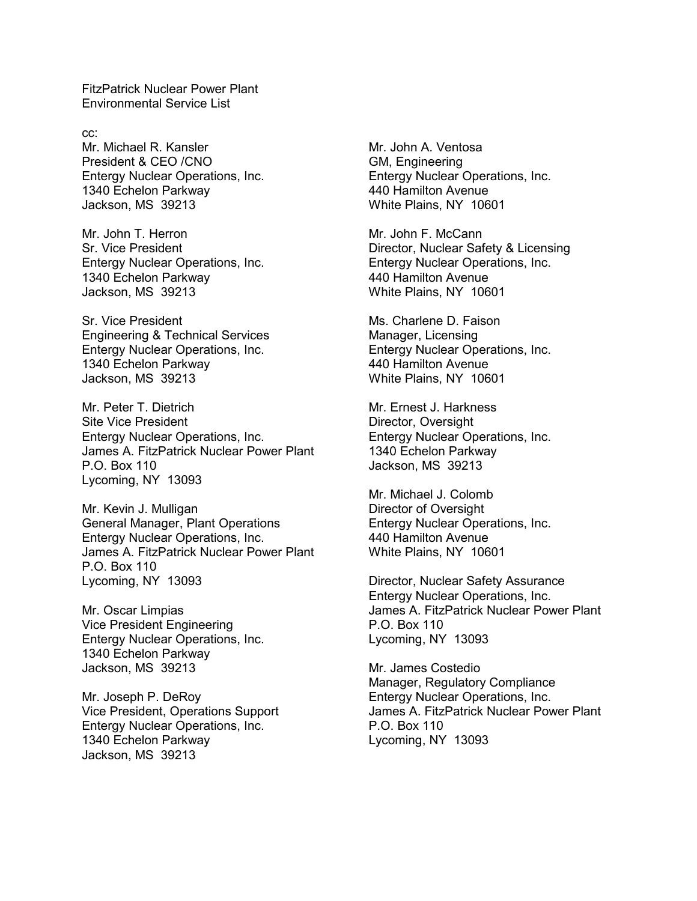FitzPatrick Nuclear Power Plant Environmental Service List

cc: Mr. Michael R. Kansler President & CEO /CNO Entergy Nuclear Operations, Inc. 1340 Echelon Parkway Jackson, MS 39213

Mr. John T. Herron Sr. Vice President Entergy Nuclear Operations, Inc. 1340 Echelon Parkway Jackson, MS 39213

Sr. Vice President Engineering & Technical Services Entergy Nuclear Operations, Inc. 1340 Echelon Parkway Jackson, MS 39213

Mr. Peter T. Dietrich Site Vice President Entergy Nuclear Operations, Inc. James A. FitzPatrick Nuclear Power Plant P.O. Box 110 Lycoming, NY 13093

Mr. Kevin J. Mulligan General Manager, Plant Operations Entergy Nuclear Operations, Inc. James A. FitzPatrick Nuclear Power Plant P.O. Box 110 Lycoming, NY 13093

Mr. Oscar Limpias Vice President Engineering Entergy Nuclear Operations, Inc. 1340 Echelon Parkway Jackson, MS 39213

Mr. Joseph P. DeRoy Vice President, Operations Support Entergy Nuclear Operations, Inc. 1340 Echelon Parkway Jackson, MS 39213

Mr. John A. Ventosa GM, Engineering Entergy Nuclear Operations, Inc. 440 Hamilton Avenue White Plains, NY 10601

Mr. John F. McCann Director, Nuclear Safety & Licensing Entergy Nuclear Operations, Inc. 440 Hamilton Avenue White Plains, NY 10601

Ms. Charlene D. Faison Manager, Licensing Entergy Nuclear Operations, Inc. 440 Hamilton Avenue White Plains, NY 10601

Mr. Ernest J. Harkness Director, Oversight Entergy Nuclear Operations, Inc. 1340 Echelon Parkway Jackson, MS 39213

Mr. Michael J. Colomb Director of Oversight Entergy Nuclear Operations, Inc. 440 Hamilton Avenue White Plains, NY 10601

Director, Nuclear Safety Assurance Entergy Nuclear Operations, Inc. James A. FitzPatrick Nuclear Power Plant P.O. Box 110 Lycoming, NY 13093

Mr. James Costedio Manager, Regulatory Compliance Entergy Nuclear Operations, Inc. James A. FitzPatrick Nuclear Power Plant P.O. Box 110 Lycoming, NY 13093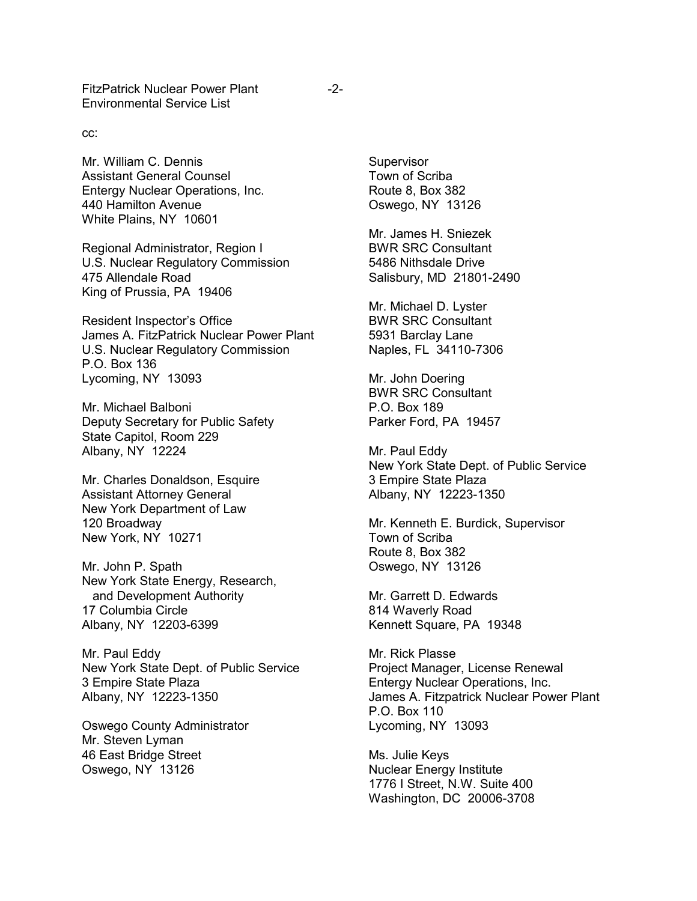FitzPatrick Nuclear Power Plant -2-Environmental Service List

cc:

Mr. William C. Dennis Assistant General Counsel Entergy Nuclear Operations, Inc. 440 Hamilton Avenue White Plains, NY 10601

Regional Administrator, Region I U.S. Nuclear Regulatory Commission 475 Allendale Road King of Prussia, PA 19406

Resident Inspector's Office James A. FitzPatrick Nuclear Power Plant U.S. Nuclear Regulatory Commission P.O. Box 136 Lycoming, NY 13093

Mr. Michael Balboni Deputy Secretary for Public Safety State Capitol, Room 229 Albany, NY 12224

Mr. Charles Donaldson, Esquire Assistant Attorney General New York Department of Law 120 Broadway New York, NY 10271

Mr. John P. Spath New York State Energy, Research, and Development Authority 17 Columbia Circle Albany, NY 12203-6399

Mr. Paul Eddy New York State Dept. of Public Service 3 Empire State Plaza Albany, NY 12223-1350

Oswego County Administrator Mr. Steven Lyman 46 East Bridge Street Oswego, NY 13126

**Supervisor** Town of Scriba Route 8, Box 382 Oswego, NY 13126

Mr. James H. Sniezek BWR SRC Consultant 5486 Nithsdale Drive Salisbury, MD 21801-2490

Mr. Michael D. Lyster BWR SRC Consultant 5931 Barclay Lane Naples, FL 34110-7306

Mr. John Doering BWR SRC Consultant P.O. Box 189 Parker Ford, PA 19457

Mr. Paul Eddy New York State Dept. of Public Service 3 Empire State Plaza Albany, NY 12223-1350

Mr. Kenneth E. Burdick, Supervisor Town of Scriba Route 8, Box 382 Oswego, NY 13126

Mr. Garrett D. Edwards 814 Waverly Road Kennett Square, PA 19348

Mr. Rick Plasse Project Manager, License Renewal Entergy Nuclear Operations, Inc. James A. Fitzpatrick Nuclear Power Plant P.O. Box 110 Lycoming, NY 13093

Ms. Julie Keys Nuclear Energy Institute 1776 I Street, N.W. Suite 400 Washington, DC 20006-3708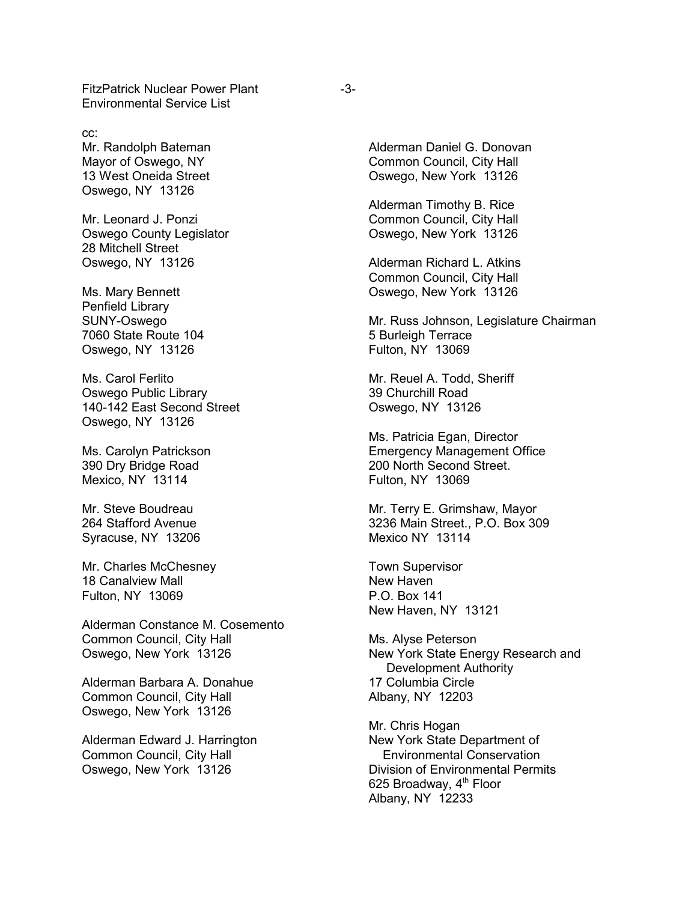FitzPatrick Nuclear Power Plant Environmental Service List

cc: Mr. Randolph Bateman Mayor of Oswego, NY 13 West Oneida Street Oswego, NY 13126

Mr. Leonard J. Ponzi Oswego County Legislator 28 Mitchell Street Oswego, NY 13126

Ms. Mary Bennett Penfield Library SUNY-Oswego 7060 State Route 104 Oswego, NY 13126

Ms. Carol Ferlito Oswego Public Library 140-142 East Second Street Oswego, NY 13126

Ms. Carolyn Patrickson 390 Dry Bridge Road Mexico, NY 13114

Mr. Steve Boudreau 264 Stafford Avenue Syracuse, NY 13206

Mr. Charles McChesney 18 Canalview Mall Fulton, NY 13069

Alderman Constance M. Cosemento Common Council, City Hall Oswego, New York 13126

Alderman Barbara A. Donahue Common Council, City Hall Oswego, New York 13126

Alderman Edward J. Harrington Common Council, City Hall Oswego, New York 13126

Alderman Daniel G. Donovan Common Council, City Hall Oswego, New York 13126

Alderman Timothy B. Rice Common Council, City Hall Oswego, New York 13126

Alderman Richard L. Atkins Common Council, City Hall Oswego, New York 13126

Mr. Russ Johnson, Legislature Chairman 5 Burleigh Terrace Fulton, NY 13069

Mr. Reuel A. Todd, Sheriff 39 Churchill Road Oswego, NY 13126

Ms. Patricia Egan, Director Emergency Management Office 200 North Second Street. Fulton, NY 13069

Mr. Terry E. Grimshaw, Mayor 3236 Main Street., P.O. Box 309 Mexico NY 13114

Town Supervisor New Haven P.O. Box 141 New Haven, NY 13121

Ms. Alyse Peterson New York State Energy Research and Development Authority 17 Columbia Circle Albany, NY 12203

Mr. Chris Hogan New York State Department of Environmental Conservation Division of Environmental Permits 625 Broadway,  $4<sup>th</sup>$  Floor Albany, NY 12233